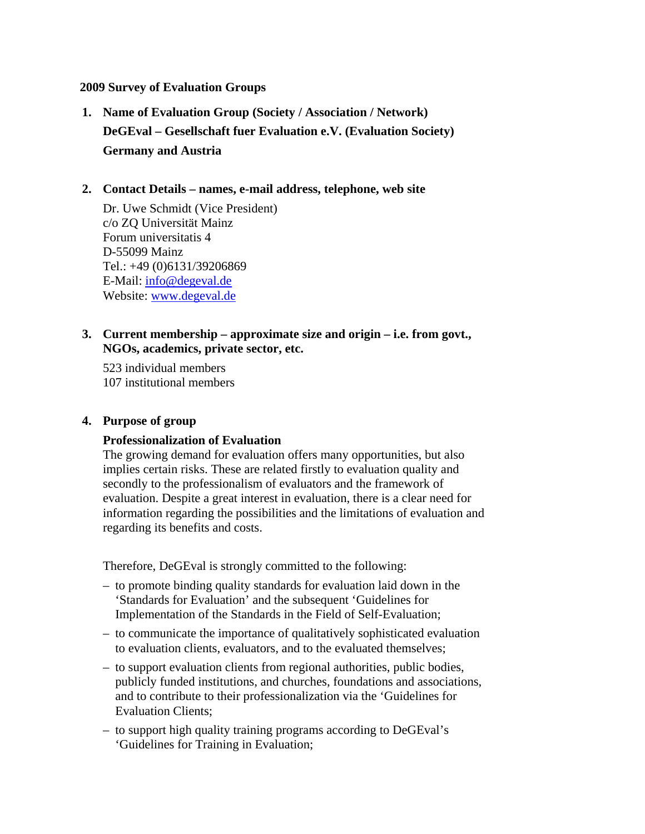### **2009 Survey of Evaluation Groups**

**1. Name of Evaluation Group (Society / Association / Network) DeGEval – Gesellschaft fuer Evaluation e.V. (Evaluation Society) Germany and Austria**

### **2. Contact Details – names, e-mail address, telephone, web site**

Dr. Uwe Schmidt (Vice President) c/o ZQ Universität Mainz Forum universitatis 4 D-55099 Mainz Tel.: +49 (0)6131/39206869 E-Mail: info@degeval.de Website: www.degeval.de

# **3. Current membership – approximate size and origin – i.e. from govt., NGOs, academics, private sector, etc.**

523 individual members 107 institutional members

#### **4. Purpose of group**

### **Professionalization of Evaluation**

The growing demand for evaluation offers many opportunities, but also implies certain risks. These are related firstly to evaluation quality and secondly to the professionalism of evaluators and the framework of evaluation. Despite a great interest in evaluation, there is a clear need for information regarding the possibilities and the limitations of evaluation and regarding its benefits and costs.

Therefore, DeGEval is strongly committed to the following:

- to promote binding quality standards for evaluation laid down in the 'Standards for Evaluation' and the subsequent 'Guidelines for Implementation of the Standards in the Field of Self-Evaluation;
- to communicate the importance of qualitatively sophisticated evaluation to evaluation clients, evaluators, and to the evaluated themselves;
- to support evaluation clients from regional authorities, public bodies, publicly funded institutions, and churches, foundations and associations, and to contribute to their professionalization via the 'Guidelines for Evaluation Clients;
- to support high quality training programs according to DeGEval's 'Guidelines for Training in Evaluation;